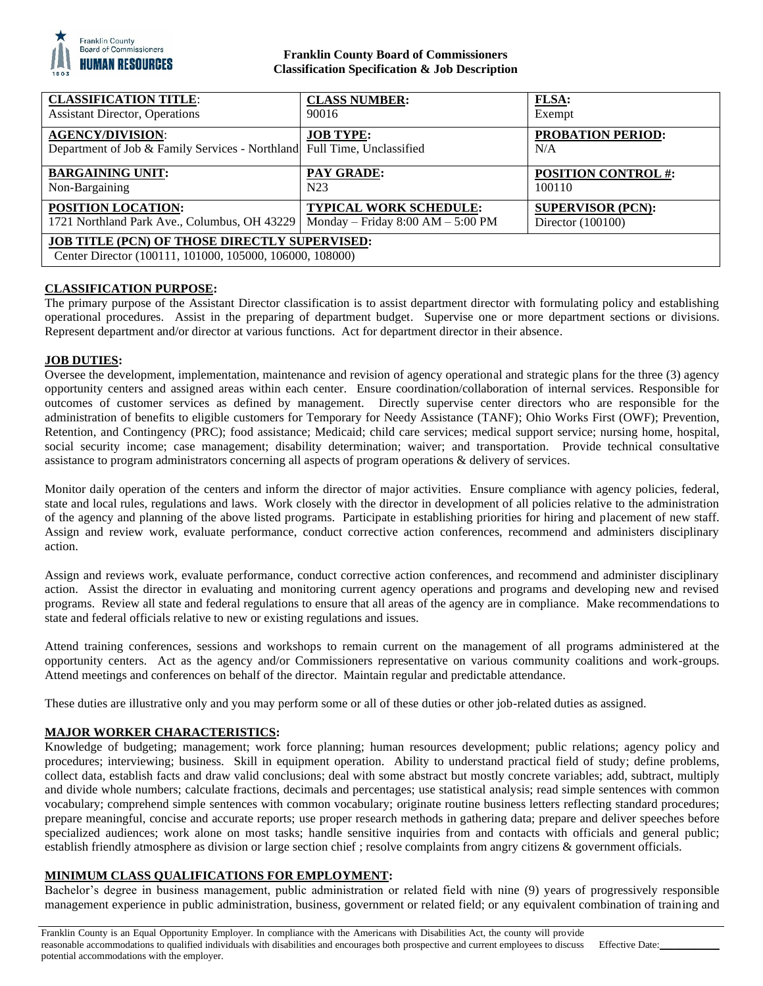

## **Franklin County Board of Commissioners Classification Specification & Job Description**

| <b>CLASSIFICATION TITLE:</b>                                                                                     | <b>CLASS NUMBER:</b>                  | FLSA:                           |
|------------------------------------------------------------------------------------------------------------------|---------------------------------------|---------------------------------|
| <b>Assistant Director, Operations</b>                                                                            | 90016                                 | Exempt                          |
| <b>AGENCY/DIVISION:</b><br>Department of Job & Family Services - Northland Full Time, Unclassified               | <b>JOB TYPE:</b>                      | <b>PROBATION PERIOD:</b><br>N/A |
| <b>BARGAINING UNIT:</b>                                                                                          | <b>PAY GRADE:</b>                     | <b>POSITION CONTROL #:</b>      |
| Non-Bargaining                                                                                                   | N <sub>2</sub> 3                      | 100110                          |
| <b>POSITION LOCATION:</b>                                                                                        | <b>TYPICAL WORK SCHEDULE:</b>         | <b>SUPERVISOR (PCN):</b>        |
| 1721 Northland Park Ave., Columbus, OH 43229                                                                     | Monday – Friday $8:00$ AM – $5:00$ PM | Director $(100100)$             |
| <b>JOB TITLE (PCN) OF THOSE DIRECTLY SUPERVISED:</b><br>Center Director (100111, 101000, 105000, 106000, 108000) |                                       |                                 |

# **CLASSIFICATION PURPOSE:**

The primary purpose of the Assistant Director classification is to assist department director with formulating policy and establishing operational procedures. Assist in the preparing of department budget. Supervise one or more department sections or divisions. Represent department and/or director at various functions. Act for department director in their absence.

### **JOB DUTIES:**

Oversee the development, implementation, maintenance and revision of agency operational and strategic plans for the three (3) agency opportunity centers and assigned areas within each center. Ensure coordination/collaboration of internal services. Responsible for outcomes of customer services as defined by management. Directly supervise center directors who are responsible for the administration of benefits to eligible customers for Temporary for Needy Assistance (TANF); Ohio Works First (OWF); Prevention, Retention, and Contingency (PRC); food assistance; Medicaid; child care services; medical support service; nursing home, hospital, social security income; case management; disability determination; waiver; and transportation. Provide technical consultative assistance to program administrators concerning all aspects of program operations & delivery of services.

Monitor daily operation of the centers and inform the director of major activities. Ensure compliance with agency policies, federal, state and local rules, regulations and laws. Work closely with the director in development of all policies relative to the administration of the agency and planning of the above listed programs. Participate in establishing priorities for hiring and placement of new staff. Assign and review work, evaluate performance, conduct corrective action conferences, recommend and administers disciplinary action.

Assign and reviews work, evaluate performance, conduct corrective action conferences, and recommend and administer disciplinary action. Assist the director in evaluating and monitoring current agency operations and programs and developing new and revised programs. Review all state and federal regulations to ensure that all areas of the agency are in compliance. Make recommendations to state and federal officials relative to new or existing regulations and issues.

Attend training conferences, sessions and workshops to remain current on the management of all programs administered at the opportunity centers. Act as the agency and/or Commissioners representative on various community coalitions and work-groups. Attend meetings and conferences on behalf of the director. Maintain regular and predictable attendance.

These duties are illustrative only and you may perform some or all of these duties or other job-related duties as assigned.

# **MAJOR WORKER CHARACTERISTICS:**

Knowledge of budgeting; management; work force planning; human resources development; public relations; agency policy and procedures; interviewing; business. Skill in equipment operation. Ability to understand practical field of study; define problems, collect data, establish facts and draw valid conclusions; deal with some abstract but mostly concrete variables; add, subtract, multiply and divide whole numbers; calculate fractions, decimals and percentages; use statistical analysis; read simple sentences with common vocabulary; comprehend simple sentences with common vocabulary; originate routine business letters reflecting standard procedures; prepare meaningful, concise and accurate reports; use proper research methods in gathering data; prepare and deliver speeches before specialized audiences; work alone on most tasks; handle sensitive inquiries from and contacts with officials and general public; establish friendly atmosphere as division or large section chief ; resolve complaints from angry citizens & government officials.

## **MINIMUM CLASS QUALIFICATIONS FOR EMPLOYMENT:**

Bachelor's degree in business management, public administration or related field with nine (9) years of progressively responsible management experience in public administration, business, government or related field; or any equivalent combination of training and